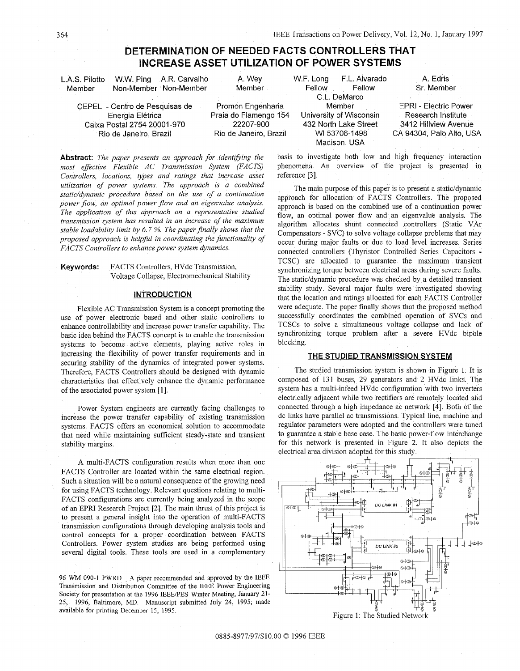# **DETERMINATION OF NEEDED FACTS CONTROLLERS THAT INCREASE ASSET UTILIZATION OF POWER SYSTEMS**

reference [3].

<span id="page-0-0"></span>

| L.A.S. Pilotto<br>Member    | W.W. Ping A.R. Carvalho<br>Non-Member Non-Member | A. Wey<br>Member      | W.F. Long<br>Fellow     | F.L. Alvarado<br>Fellow | A. Edris<br>Sr. Member       |
|-----------------------------|--------------------------------------------------|-----------------------|-------------------------|-------------------------|------------------------------|
|                             |                                                  | C.L. DeMarco          |                         |                         |                              |
|                             | CEPEL - Centro de Pesquisas de                   | Promon Engenharia     |                         | Member                  | <b>EPRI - Electric Power</b> |
| Energia Elétrica            |                                                  | Praia do Flamengo 154 | University of Wisconsin |                         | Research Institute           |
| Caixa Postal 2754 20001-970 |                                                  | 22207-900             | 432 North Lake Street   |                         | 3412 Hillview Avenue         |

**Abstract:** *The paper presents an approach for identifiing the most effective Flexible AC Transmission System (FACTS) Controllers, locations, types and ratings that increase asset utilization of power systems The approach* is *a combined static/dynamic procedure based on the use of a continuation power flow, an optimal power flow and an eigenvalue analysis The application of this approach on a representative studied transmission system has resulted in an increase of the maximum stable loadability limit by 6 7* % *The paper finally shows that the proposed approach is helpful in coordinating the functionality of FACTS Controllers to enhance power system dynamics* 

**Keywords:** FACTS Controllers, HVdc Transmission, Voltage Collapse, Electromechanical Stability

#### **INTRODUCTION**

Flexible AC Transmission System is a concept promoting the use of power electronic based and other static controllers to enhance controllability and increase power transfer capability. The basic idea behind the FACTS concept is to enable the transmission systems to become active elements, playing active roles in increasing the flexibility of power transfer requirements and in securing stability of the dynamics of integrated power systems. Therefore, FACTS Controllers should be designed with dynamic characteristics that effectively enhance the dynamic performance of the associated power system [1].

Power System engineers are currently facing challenges to increase the power transfer capability of existing transmission systems. FACTS offers an economical solution to accommodate that need while maintaining sufficient steady-state and transient stability margins.

A multi-FACTS configuration results when more than one FACTS Controller are located within the same electrical region. Such a situation will be a natural consequence of the growing need for using FACTS technology. Relevant questions relating to multi-FACTS configurations are currently being analyzed in the scope of an EPRI Research Project [2]. The main thrust of this project is to present a general insight into the operation of multi-FACTS transmission configurations through developing analysis tools and control concepts for a proper coordination between FACTS Controllers. Power system studies are being performed using several digital tools. These tools are used in a complementary

96 Wh4 090-1 PWRD **4** paper recommended **and** approved by the IEEE Transmission and Distribution Committee of the IEEE Power Engineering Society for presentation at the 1996 IEEE/PES Winter Meeting, January 21- 25, 1996, Baltimore, MD. Manuscript submitted July 24, 1995; made available for printing December 15, 1995

Rio de Janeiro, Brazil Rio de Janeiro, Brazil WI 53706-1498 Madison, USA CA 94304, Palo Alto, USA basis to investigate both low and high frequency interaction phenomena. An overview of the project is presented in

> The main purpose of this paper is to present a static/dynamic approach for allocation of FACTS Controllers. The proposed approach is based on the combined use of a continuation power flow, an optimal power flow and an eigenvalue analysis. The algorithm allocates shunt connected controllers (Static VAr Compensators - SVC) to solve voltage collapse problems that may occur during major faults or due to load level increases. Series connected controllers (Thyristor Controlled Series Capacitors - TCSC) are allocated to guarantee the maximum transient synchronizing torque between electrical areas during severe faults The static/dynamic procedure was checked by a detailed transient stability study. Several major faults were investigated showing that the location and ratings allocated for each FACTS Controller were adequate. The paper finally shows that the proposed method successfully coordinates the combined operation of SVCs and TCSCs to solve a simultaneous voltage collapse and lack of synchronizing torque problem after a severe HVdc bipole blocking.

### **THE STUDIED TRANSMISSION SYSTEM**

The studied transmission system is shown in Figure 1. It is composed of 131 buses, 29 generators and 2 HVdc links. The system has a multi-infeed HVdc configuration with two inverters electrically adjacent while two rectifiers are remotely located ahd connected through a high impedance ac network [4]. Both of the dc links have parallel ac transmissions. Typical line, machine and regulator parameters were adopted and the controllers were tuned to guarantee a stable base case. The basic power-flow interchange for this network is presented in Figure 2. It also depicts the electrical area division adopted for this study.



0885-8977/97/\$10.00 *0* 1996 IEEE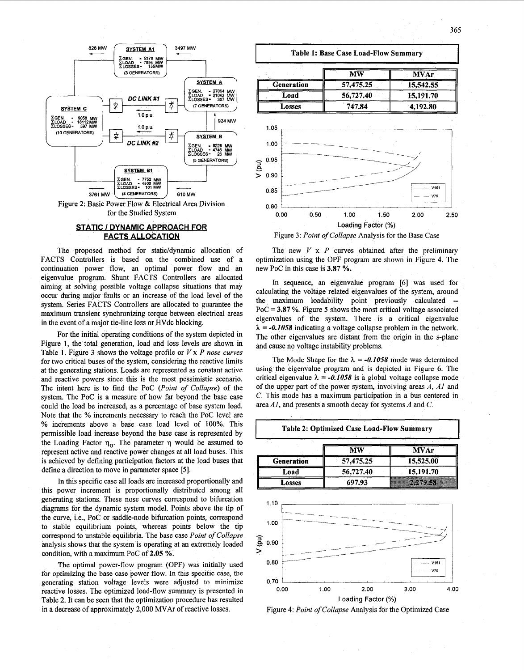

## **STATIC** *I* **DYNAMIC APPROACH FOR FACTS ALLOCATION**

The proposed method for static/dynamic allocation of FACTS Controllers is based on the combined use of a continuation power flow, an optimal power flow and an eigenvalue program. Shunt FACTS Controllers are allocated aiming at solving possible voltage collapse situations that may occur during major faults or an increase of the load level of the system. Series FACTS Controllers are allocated to guarantee the maximum transient synchronizing torque between electrical areas in the event of a major tie-line loss or HVdc blocking.

For the initial operating conditions of the system depicted in Figure **1,** the total generation, load and loss levels are shown in Table **1.** Figure **3** shows the voltage profile or *V* x *P nose curves*  for two critical buses of the system, considering the reactive limits at the generating stations. Loads are represented as constant active and reactive powers since this is the most pessimistic scenario. The intent here is to find the PoC *(Point of Collapse)* of the system. The PoC is a measure of how far beyond the base case could the load be increased, as a percentage of base system load. Note that the % increments necessary to reach the PoC level are **'YO** increments above a base case load level of 100%. This permissible load increase beyond the base case is represented by the Loading Factor  $\eta_0$ . The parameter  $\eta$  would be assumed to represent active and reactive power changes at all load buses. This is achieved by defining participation factors at the load buses that define a direction to move in parameter space **[5].** 

In this specific case all loads are increased proportionally and this power increment is proportionally distributed among all generating stations. These nose curves correspond to bifurcation diagrams for the dynamic system model. Points above the tip of the curve, i.e., PoC or saddle-node bifurcation points, correspond to stable equilibrium points, whereas points below the tip correspond to unstable equilibria. The base case *Point of Collapse*  analysis shows that the system **is** operating at an extremely loaded condition, with a maximum PoC of 2.05 %.

The optimal power-flow program (OPF) was initially used for optimizing the base case power flow. In this specific case, the generating station voltage levels were adjusted to minimize reactive losses. The optimized load-flow summary is presented in Table **2.** It can be seen that the optimization procedure has resulted in a decrease of approximately 2,000 MVAr of reactive losses. Figure **4:** *Point of Collapse* Analysis for the Optimized Case





The new  $V \times P$  curves obtained after the preliminary optimization using the OPF program are shown in Figure **4.** The new PoC in this case is **3.87** %.

In sequence, an eigenvalue program **[6]** was used for calculating the voltage related eigenvalues of the system, around the maximum loadability point previously calculated PoC = **3.87** %. Figure **5** shows the most critical voltage associated eigenvalues of the system. There is a critical eigenvalue  $\lambda = -0.1058$  indicating a voltage collapse problem in the network. The other eigenvalues are distant from the origin in the s-plane and cause no voltage instability problems.

The Mode Shape for the  $\lambda = -0.1058$  mode was determined using the eigenvalue program and is depicted in Figure 6. The critical eigenvalue  $\lambda = -0.1058$  is a global voltage collapse mode of the upper part of the power system, involving areas *A, AI* and *C.* This mode has a maximum participation in a bus centered in area *AI,* and presents a smooth decay for systems *A* and *C.* 



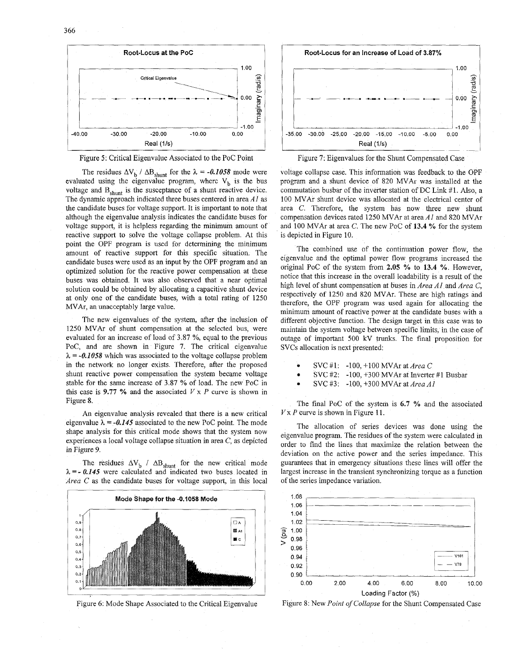

# Figure 5: Critical Eigenvalue Associated to the PoC Point

The residues  $\Delta V_b / \Delta B_{shunt}$  for the  $\lambda = -0.1058$  mode were evaluated using the eigenvalue program, where  $V_b$  is the bus voltage and  $B_{shunt}$  is the susceptance of a shunt reactive device. The dynamic approach indicated three buses centered in area *A1* as the candidate buses for voltage support. It is important to note that although the eigenvalue analysis indicates the candidate buses for voltage support, it is helpless regarding the minimum amount of reactive support to solve the voltage collapse problem. At this point the OPF program is used for determining the minimum amount of reactive support for this specific situation. The candidate buses were used as an input by the OPF program and **an**  optimized solution for the reactive power compensation at these buses was obtained. It was also observed that a near optimal solution could be obtained by allocating a capacitive shunt device at only one of the candidate buses, with a total rating of **1250**  MVAr, an unacceptably large value.

The new eigenvalues of the system, after the inclusion of **1250** MVAr of shunt compensation at the selected bus, were evaluated for an increase of load of 3.87 %, equal to the previous PoC, and are shown in Figure *7.* The critical eigenvalue  $\lambda = -0.1058$  which was associated to the voltage collapse problem in the network no longer exists. Therefore, after the proposed shunt reactive power compensation the system became voltage stable for the same increase of **3.87** % of load. The new PoC in this case is 9.77  $\%$  and the associated  $V \times P$  curve is shown in Figure **8.** 

An eigenvalue analysis revealed that there is a new critical eigenvalue  $\lambda = -0.145$  associated to the new PoC point. The mode shape analysis for this critical mode shows that the system now experiences a local voltage collapse situation in area *C,* as depicted in Figure **9.** 

The residues  $\Delta V_b$  /  $\Delta B_{shunt}$  for the new critical mode  $\lambda = -0.145$  were calculated and indicated two buses located in *Area* C as the candidate buses for voltage support, in this local



Figure **6:** Mode Shape Associated to the Critical Eigenvalue



Figure *7:* Eigenvalues for the Shunt Compensated Case

voltage collapse case. This information was feedback to the OPF program and a shunt device of **820** MVAr was installed at the commutation busbar of the inverter station of DC Link #1. Also, a 100 MVAr shunt device was allocated at the electrical center of area C. Therefore, the system bas now three new shunt compensation devices rated **1250** MVAr at area *Ai* and **820** MVAr and 100 MVAr at area C. The new PoC of 13.4 % for the system is depicted in [Figure 10.](#page-3-0)

The combined use of the continuation power flow, the eigenvalue and the optimal power flow programs increased the original PoC of the system from 2.05  $\%$  to 13.4  $\%$ . However, notice that this increase in the overall loadability is a result of the high level of shunt compensation at buses in *Area AI* and *Area C,*  respectively of 1250 and **820** MVAr. These are high ratings and therefore, the OPF program was used again for allocating the minimum amount of rcactive power at the candidate buses with a different objective function. The design target in this case was to maintain the system voltage between specific limits, in the case of outage of important 500 kV trunks. The final proposition for SVCs allocation is next presented:

- *0* SVC **#1:** -100, +lo0 MVAr at *Area C*
- **<sup>e</sup>SVC #2: -100, +300** MVAr at Inverter **#1** Busbar
- SVC *#3:* -100, +300 MVAr at *Area Ai*

The final PoC of the system is 6.7 % and the associated  $V \times P$  curve is shown in [Figure 1](#page-0-0)1.

The allocation of series devices was done using the eigenvalue program. The residues of the system were calculated in order to find the lines that maximize the relation between the deviation on the active power and the series impedance. This guarantees that in emcrgency situations these lines will offer the largest increase in the transient synchronizing torque as a function of the series impedance variation.



Figure 8: New Point of Collapse for the Shunt Compensated Case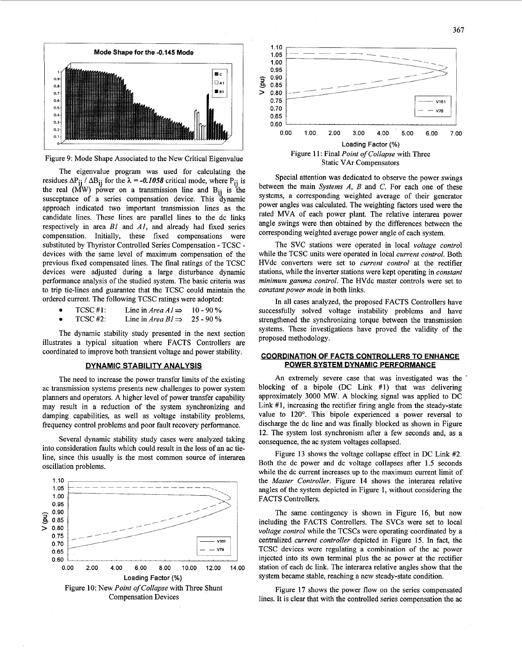<span id="page-3-0"></span>

Figure 9: Mode Shape Associated to the New Critical Eigenvalue

The eigenvalue program was used for calculating the residues  $\Delta P_{ii}$  /  $\Delta B_{ii}$  for the  $\lambda = -0.1058$  critical mode, where P<sub>ij</sub> is the real  $(\overrightarrow{M}W)$  power on a transmission line and  $B_{ii}$  is the susceptance of a series compensation device. This dynamic approach indicated two important transmission lines as the candidate lines. These lines are parallel lines to the dc links respectively in area *B1* and *AJ,* and already had fixed series compensation. Initially, these fixed compensations were substituted by Thyristor Controlled Series Compensation - TCSC devices with the same level of maximum compensation of the previous fixed compensated lines. The final ratings of the TCSC devices were adjusted during a large disturbance dynamic performance analysis of the studied system. The basic criteria was to trip tie-lines and guarantee that the TCSC could maintain the ordered current. The following TCSC ratings were adopted:

- TCSC #1: Line in *Area A1*  $\Rightarrow$  10 90 %<br>TCSC #2: Line in *Area B1*  $\Rightarrow$  25 90 %  $\bullet$
- Line in *Area B1*  $\Rightarrow$  $\bullet$

The dynamic stability study presented in the next section illustrates a typical situation where FACTS Controllers are coordinated to improve both transient voltage and power stability.

# **DYNAMIC STABILITY ANALYSIS**

The need to increase the power transfer limits of the existing ac transmission systems presents new challenges to power system planners and operators. A higher level of power transfer capability may result in a reduction of the system synchronizing and damping capabilities, as well as voltage instability problems, frequency control problems and poor fault recovery performance.

Several dynamic stability study cases were analyzed taking into consideration faults which could result in the loss of an ac tieline, since this usually is the most common source of interarea oscillation problems.





Special attention was dedicated to observe the power swings between the main *Systems A, B* and C. For each one of these systems, a corresponding weighted average of their generator power angles was calculated. The weighting factors used were the rated MVA of each power plant. The relative interarea power angle swings were then obtained by the differences between the corresponding weighted average power angle of each system.

The SVC stations were operated in local *voltage control*  while the TCSC units were operated in local *current control.* Both HVdc converters were set to *current control* at the rectifier stations, while the inverter stations were kept operating in *constant minimum gamma control.* The HVdc master controls were set to *constant power mode* in both links.

**In** all cases analyzed, the proposed FACTS Controllers have successfully solved voltage instability problems and have strengthened the synchronizing torque between the transmission systems. These investigations have proved the validity of the proposed methodology.

## **COORDINATION OF FACTS CONTROLLERS TO ENHANCE POWER SYSTEM DYNAMIC PERFORMANCE**

An extremely severe case that was investigated was the ' blocking of a bipole (DC Link #I) that was delivering approximately 3000 MW. A blocking signal was applied to DC Link **#1,** increasing the rectifier firing angle from the steady-state value to 120'. This bipole experienced a power reversal to discharge the dc line and was finally blocked as shown in [Figure](#page-4-0)  **[12.](#page-4-0)** The system lost synchronism after a few seconds and, as a consequence, the ac system voltages collapsed.

[Figure](#page-4-0) 13 shows the voltage collapse effect in DC Link #2. Both the dc power and dc voltage collapses after 1.5 seconds while the dc current increases up to the maximum current limit of the *Master Controller.* [Figure 14](#page-4-0) shows the interarea relative angles of the system depicted in Figure 1, without considering the FACTS Controllers.

The same contingency is shown in [Figure](#page-4-0) **16,** but now including the FACTS Controllers. The SVCs were set to local *voltage control* while the TCSCs were operating coordinated by a centralized *current controller* depicted in [Figure 15.](#page-4-0) **In** fact, the TCSC devices were regulating a combination of the ac power injected into its own terminal plus the ac power at the rectifier station of each dc link. The interarea relative angles show that the system became stable, reaching a new steady-state condition.

[Figure](#page-4-0) **17** shows the power flow on the series compensated lines. It is clear that with the controlled series compensation the ac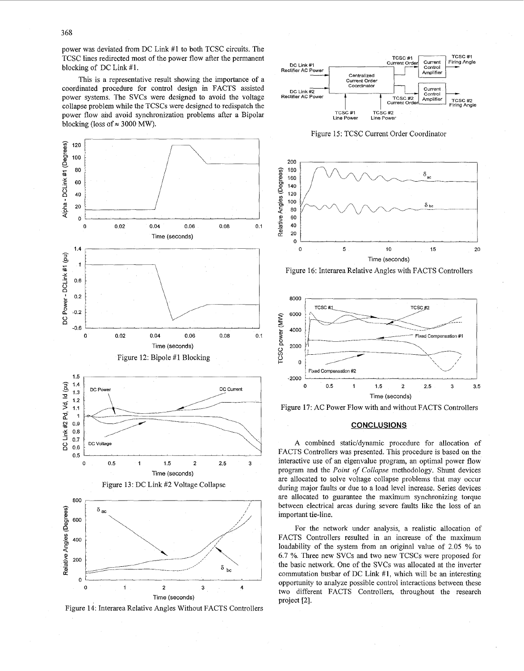<span id="page-4-0"></span>power was deviated from DC Link #1 to both TCSC circuits. The TCSC lines redirected most of the power flow after the permanent blocking of DC Link #l.

This is a representative result showing the importance of a coordinated procedure for control design in FACTS assisted power systems. The SVCs were designed to avoid the voltage collapse problem while the TCSCs were designed to redispatch the power flow and avoid synchronization problems after a Bipolar blocking (loss of  $\approx 3000$  MW).







Figure 15: TCSC Current Order Coordinator



Figure 16: Interarea Relative Angles with FACTS Controllers



Figure **17:** AC Power Flow with and without FACTS Controllers

## **CONCLUSIONS**

**A** combined static/dynamic procedure for allocation of FACTS Controllers was presented. This procedure is based on the interactive use of an eigenvalue program, an optimal power flow program and the *Point* of *Collapse* methodology. Shunt devices are allocated to solve voltage collapse problems that may occur during major faults or due to a load level increase. Series devices are allocated to guarantee the maximum synchronizing torque between electrical areas during severe faults like the loss of an important tie-line.

For the network under analysis, a realistic allocation of FACTS Controllers resulted in an increase of the maximum loadability of the system from an original value of 2.05 % to 6.7 %. Three new SVCs and two new TCSCs were proposed for the basic network. One of the SVCs was allocated at the inverter commutation busbar of DC Link **#1,** which will be an interesting opportunity to analyze possible control interactions between these two different FACTS Controllers, throughout the research project *[2].*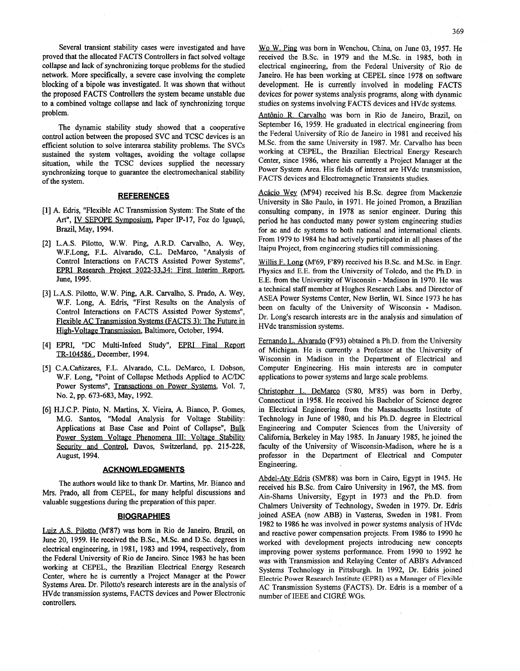Several transient stability cases were investigated and have proved that the allocated FACTS Controllers in fact solved voltage collapse and lack of synchronizing torque problems for the studied network. More specifically, a severe case involving the complete blocking of a bipole was investigated. It was shown that without the proposed FACTS Controllers the system became unstable due to a combined voltage collapse and lack of synchronizing torque problem.

The dynamic stability study showed that a cooperative control action between the proposed SVC and TCSC devices is an efficient solution to solve interarea stability problems. The SVCs sustained the system voltages, avoiding the voltage collapse situation, while the TCSC devices supplied the necessary synchronizing torque to guarantee the electromechanical stability of the system.

#### **REFERENCES**

- **A.** Edriq, "Flexible AC Transmission System: The State of the Art", IV SEPOPE Symposium, Paper IP-17, Foz do Iguaçú, Brazil, May, **1994.**
- L.A.S. Pilotto, W.W. Ping, A.R.D. Carvalho, A. Wey, W.F.Long, F.L. Alvarado, C.L. DeMarco, "Analysis of Control Interactions on FACTS Assisted Power Systems", EPRI Research Proiect **3022-33.34:** First Interim Report, June, **1995.**
- [3] L.A.S. Pilotto, W.W. Ping, A.R. Carvalho, S. Prado, A. Wey, W.F. Long, A. Edris, "First Results on the Analysis of Control Interactions on FACTS Assisted Power Systems", Flexible AC Transmission Svstems (FACTS **3):** The Future in High-Voltage Transmission, Baltimore, October, 1994.
- EPRI, "DC Multi-Infeed Study", EPRI Final Report **TR-104586,** December, **1994.**
- [5] C.A.Cañizares, F.L. Alvarado, C.L. DeMarco, I. Dobson, W.F. Long, "Point of Collapse Methods Applied to ACDC Power Systems", Transactions on Power Svstems, Vol. **7,**  No. **2,** pp. **673-683,** May, **1992.**
- H.J.C.P. Pinto, N. Martins, X. Vieira, A. Bianco, P. Gomes, M.G. Santos, "Modal Analysis for Voltage Stability: Applications at Base Case and Point of Collapse", Bulk Power System Voltage Phenomena III: Voltage Stability Security and Control, Davos, Switzerland, pp. **215-228,**  August, **1994.**

#### **ACKNOWLEDGMENTS**

The authors would like to thank Dr. Martins, Mr. Bianco and Mrs. Prado, **all** from CEPEL, **for** many helpful discussions and valuable suggestions during the preparation of this paper.

## **BIOGRAPHIES**

Luiz A.S. Pilotto **(M87)** was born in Rio de Janeiro, Brazil, on June **20, 1959.** He received the B.Sc., M.Sc. and D.Sc. degrees in electrical engineering, in **1981, 1983** and **1994,** respectively, from the Federal University of Rio de Janeiro. Since **1983** he has been working at CEPEL, the Brazilian Electrical Energy Research Center, where he is currently a Project Manager at the Power Systems Area. Dr. Pilotto's research interests are in the analysis of HVdc transmission systems, FACTS devices and Power Electronic controllers.

Antônio R. Carvalho was born in Rio de Janeiro, Brazil, on September **16, 1959.** He graduated in electrical engineering from the Federal University of Rio de Janeiro in **1981** and received his MSc. from the same University in **1987.** Mr. Carvalho has been working at CEPEL, the Brazilian Electrical Energy Research Center, since **1986,** where his currently a Project Manager at the Power System Area. His fields of interest are HVdc transmission, FACTS devices and Electromagnetic Transients studies.

Acácio Wey **(M'94)** received his B.Sc. degree from Mackenzie University in São Paulo, in 1971. He joined Promon, a Brazilian consulting company, in **1978** as senior engineer. During this period he has conducted many power system engineering studies for ac and dc systems to both national and international clients. From **1979** to **1984** he had actively participated in all phases of the Itaipu Project, from engineering studies till commissioning.

Willis F. Long **(M'69, F'89)** received his B.Sc. and M.Sc. in Engr. Physics and E.E. from the University of Toledo, and the Ph.D. in E.E. from the University of Wisconsin - Madison in **1970.** He was a technical staff member at Hughes Research Labs. and Director of ASEA Power Systems Center, New Berlin, WI. Since **1973** he has been on faculty of the University of Wisconsin - Madison. Dr. Long's research interests are in the analysis and simulation of HVdc transmission systems.

Fernando L. Alvarado **(F'93)** obtained a Ph.D. from the University of Michigan. He is currently a Professor at the University of Wisconsin in Madison in the Department of Electrical and Computer Engineering. His main interests are in computer applications to power systems and large scale problems.

Christopher L. DeMarco (S'80, M'85) was born in Derby, Connecticut in **1958.** He received his Bachelor of Science degree in Electrical Engineering from the Massachusetts Institute of Technology in June of **1980,** and his Ph.D. degree in Electrical Engineering and Computer Sciences from the University of California, Berkeley in May **1985.** In January **1985,** he joined the faculty of the University of Wisconsin-Madison, where he is a professor in the Department of Electrical and Computer Engineering.

Abdel-At? Edris **(SM'88)** was born in Cairo, Egypt in **1945.** He received his BSc. from Cairo University in **1967,** the MS. from Ain-Shams University, Egypt in **1973** and the Ph.D. from Chalmers University of Technology, Sweden in **1979.** Dr. Edris joined ASEA (now ABB) in Vasteras, Sweden in **1981.** From **1982** to **1986** he was involved in power systems analysis of HVdc and reactive power compensation projects. From **1986** to **1990** he worked with development projects introducing new concepts improving power systems performance. From **1990** to **1992** he was with Transmission and Relaying Center of ABB's Advanced Systems Technology in Pittsburgh. In **1992,** Dr. Edris joined **Electric** Power **Research Institute (EPRI) as a Manager of Flexible**  AC Transmission Systems (FACTS). Dr. Edris is a member of a number of IEEE and CIGRÉ WGs.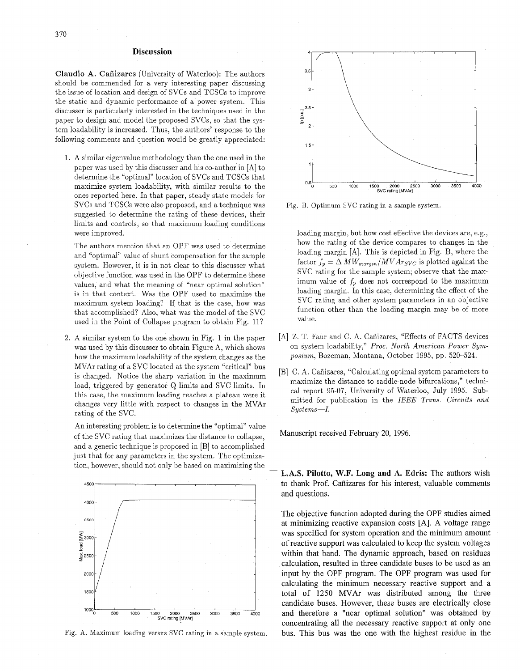#### **Discussion**

Claudio **A.** Cafiizares (University of Waterloo): The authors should be commended for a very interesting paper discussing the issue of location and design of SVCs and TCSCs to improve the static and dynamic performance of a power system. This discusser is particularly interested in the techniques used in the paper to design and model the proposed SVCs, so that the system loadability is increased. Thus, the authors' response to the following comments and question would be greatly appreciated:

1. A similar eigenvalue methodology than the one used in the paper was used by this discusser and his co-author in [A] to determine the "optimal" location of SVCs and TCSCs that maximize system loadability, with similar results to the ones reported here. In that paper, steady state models for SVCs and TCSCs were also proposed, and a technique was suggested to determine the rating of these devices, their limits and controls, so that maximum loading conditions were improved.

The authors mention that an OPF was used to determine and "optimal" value of shunt compensation for the sample system. However, it is in not clear to this discusser what objective function was used in the OPF to determine these values, and what the meaning of "near optimal solution" is in that context. Was the OPF used to maximize the maximum system loading? If that is the case, how was that accomplished? Also, what was the model of the SVC used in the Point of Collapse program to obtain Fig. 11?

2. A similar system to the one shown in [Fig. 1](#page-0-0) in the paper was used by this discusser to obtain Figure A, which shows how the maximumloadability of the system changes as the MVAr rating of a SVC located at the system "critical" bus is changed. Notice the sharp variation in the maximum load, triggered by generator Q limits and SVC limits. In this case, the maximum loading reaches a plateau were it changes very little with respect to changes in the MVAr rating of the SVC.

An interesting problem is to determine the "optimal" value of the SVC rating that maximizes the distance to collapse, and a generic technique is proposed in [B] to accomplished just that for any parameters in the system. The optimization, however, should not only be based on maximizing the



Fig. **A.** Maximum loading versus SVC rating in a sample system.



Fig. B. Optimum SVC rating in a sample system.

loading margin, but how cost effective the devices are, e.g., how the rating of the device compares to changes in the loading margin [A]. This is depicted in Fig. B, where the factor  $f_p = \Delta MW_{margin}/MVArg_{VC}$  is plotted against the SVC rating for the sample system; observe that the maximum value of  $f_p$  does not correspond to the maximum loading margin. In this case, determining the effect of the SVC rating and other system parameters in an objective function other than the loading margin may be of more value.

- [A] Z. T. Faur and C. A. Cañizares, "Effects of FACTS devices on system loadability," *Proc. North American Power Symposium,* Bozeman, Montana, October 1995, pp. 520-524.
- [B] C. A. Cañizares, "Calculating optimal system parameters to maximize the distance to saddle-node bifurcations,'' technical report 95-07, University of Waterloo, July 1995. Submitted for publication in the *IEEE Trans. Circuits and Systems-I.*

Manuscript received February 20, 1996.

**L.A.S. Pilotto, W.F. Long and A. Edris:** The authors wish to thank Prof. Cafiizares for his interest, valuable comments and questions.

The objective function adopted during the OPF studies aimed at minimizing reactive expansion costs [A]. A voltage range was specified for system operation and the minimum amount of reactive support was calculated to keep the system voltages within that band. The dynamic approach, based on residues calculation, resulted in three candidate buses to be used as an input by the OPF program. The OPF program was used for calculating the minimum necessary reactive support and a total of 1250 MVAr was distributed among the three candidate buses. However, these buses are electrically close and therefore a "near optimal solution" was obtained by concentrating all the necessary reactive support at only one bus. This bus was the one with the highest residue in the